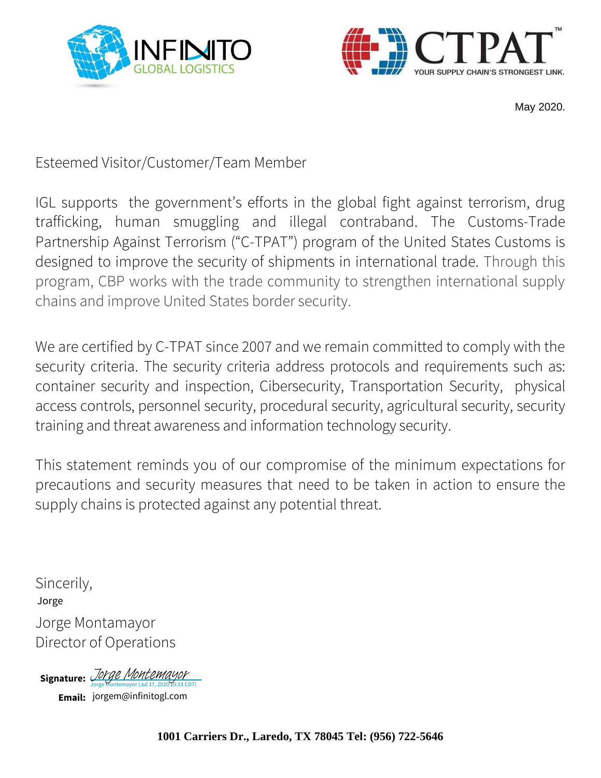



May 2020.

Esteemed Visitor/Customer/Team Member

IGL supports the government's efforts in the global fight against terrorism, drug trafficking, human smuggling and illegal contraband. The Customs-Trade Partnership Against Terrorism ("C-TPAT") program of the United States Customs is designed to improve the security of shipments in international trade. Through this program, CBP works with the trade community to strengthen international supply chains and improve United States border security.

We are certified by C-TPAT since 2007 and we remain committed to comply with the security criteria. The security criteria address protocols and requirements such as: container security and inspection, Cibersecurity, Transportation Security, physical access controls, personnel security, procedural security, agricultural security, security training and threat awareness and information technology security.

This statement reminds you of our compromise of the minimum expectations for precautions and security measures that need to be taken in action to ensure the supply chains is protected against any potential threat.

Sincerily, Jorge Montamayor Director of Operations Jorge

Signature: *[Jorge Montemayor](https://na2.documents.adobe.com/verifier?tx=CBJCHBCAABAA_JighbZJzXZS4W-XVPRhB4Xlb849GQFM)* 

**Email:** jorgem@infinitogl.com